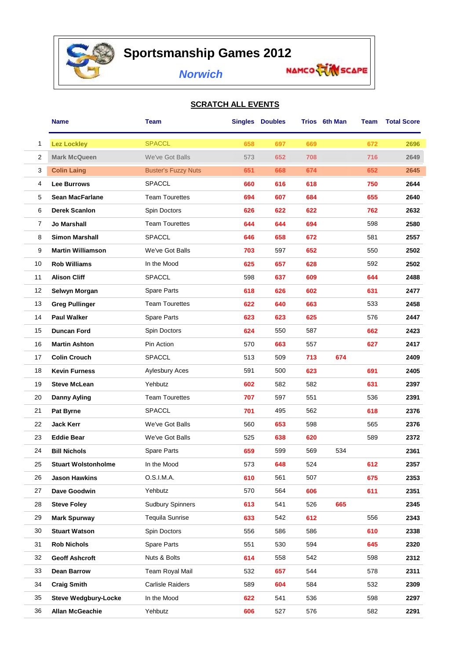

## **Sportsmanship Games 2012**

## *Norwich*

## **SCRATCH ALL EVENTS**

|                | Name                        | <b>Team</b>                |     | <b>Singles Doubles</b> |     | Trios 6th Man | Team | <b>Total Score</b> |
|----------------|-----------------------------|----------------------------|-----|------------------------|-----|---------------|------|--------------------|
| 1              | <b>Lez Lockley</b>          | <b>SPACCL</b>              | 658 | 697                    | 669 |               | 672  | 2696               |
| 2              | <b>Mark McQueen</b>         | We've Got Balls            | 573 | 652                    | 708 |               | 716  | 2649               |
| 3              | <b>Colin Laing</b>          | <b>Buster's Fuzzy Nuts</b> | 651 | 668                    | 674 |               | 652  | 2645               |
| 4              | <b>Lee Burrows</b>          | <b>SPACCL</b>              | 660 | 616                    | 618 |               | 750  | 2644               |
| 5              | <b>Sean MacFarlane</b>      | <b>Team Tourettes</b>      | 694 | 607                    | 684 |               | 655  | 2640               |
| 6              | <b>Derek Scanlon</b>        | Spin Doctors               | 626 | 622                    | 622 |               | 762  | 2632               |
| $\overline{7}$ | Jo Marshall                 | <b>Team Tourettes</b>      | 644 | 644                    | 694 |               | 598  | 2580               |
| 8              | <b>Simon Marshall</b>       | <b>SPACCL</b>              | 646 | 658                    | 672 |               | 581  | 2557               |
| 9              | <b>Martin Williamson</b>    | We've Got Balls            | 703 | 597                    | 652 |               | 550  | 2502               |
| 10             | <b>Rob Williams</b>         | In the Mood                | 625 | 657                    | 628 |               | 592  | 2502               |
| 11             | <b>Alison Cliff</b>         | <b>SPACCL</b>              | 598 | 637                    | 609 |               | 644  | 2488               |
| 12             | Selwyn Morgan               | Spare Parts                | 618 | 626                    | 602 |               | 631  | 2477               |
| 13             | <b>Greg Pullinger</b>       | <b>Team Tourettes</b>      | 622 | 640                    | 663 |               | 533  | 2458               |
| 14             | <b>Paul Walker</b>          | Spare Parts                | 623 | 623                    | 625 |               | 576  | 2447               |
| 15             | <b>Duncan Ford</b>          | Spin Doctors               | 624 | 550                    | 587 |               | 662  | 2423               |
| 16             | <b>Martin Ashton</b>        | Pin Action                 | 570 | 663                    | 557 |               | 627  | 2417               |
| 17             | <b>Colin Crouch</b>         | <b>SPACCL</b>              | 513 | 509                    | 713 | 674           |      | 2409               |
| 18             | <b>Kevin Furness</b>        | Aylesbury Aces             | 591 | 500                    | 623 |               | 691  | 2405               |
| 19             | <b>Steve McLean</b>         | Yehbutz                    | 602 | 582                    | 582 |               | 631  | 2397               |
| 20             | <b>Danny Ayling</b>         | <b>Team Tourettes</b>      | 707 | 597                    | 551 |               | 536  | 2391               |
| 21             | Pat Byrne                   | <b>SPACCL</b>              | 701 | 495                    | 562 |               | 618  | 2376               |
| 22             | <b>Jack Kerr</b>            | We've Got Balls            | 560 | 653                    | 598 |               | 565  | 2376               |
| 23             | <b>Eddie Bear</b>           | We've Got Balls            | 525 | 638                    | 620 |               | 589  | 2372               |
| 24             | <b>Bill Nichols</b>         | Spare Parts                | 659 | 599                    | 569 | 534           |      | 2361               |
| 25             | <b>Stuart Wolstonholme</b>  | In the Mood                | 573 | 648                    | 524 |               | 612  | 2357               |
| 26             | <b>Jason Hawkins</b>        | O.S.I.M.A.                 | 610 | 561                    | 507 |               | 675  | 2353               |
| 27             | Dave Goodwin                | Yehbutz                    | 570 | 564                    | 606 |               | 611  | 2351               |
| 28             | <b>Steve Foley</b>          | <b>Sudbury Spinners</b>    | 613 | 541                    | 526 | 665           |      | 2345               |
| 29             | <b>Mark Spurway</b>         | <b>Tequila Sunrise</b>     | 633 | 542                    | 612 |               | 556  | 2343               |
| 30             | <b>Stuart Watson</b>        | Spin Doctors               | 556 | 586                    | 586 |               | 610  | 2338               |
| 31             | <b>Rob Nichols</b>          | Spare Parts                | 551 | 530                    | 594 |               | 645  | 2320               |
| 32             | <b>Geoff Ashcroft</b>       | Nuts & Bolts               | 614 | 558                    | 542 |               | 598  | 2312               |
| 33             | <b>Dean Barrow</b>          | Team Royal Mail            | 532 | 657                    | 544 |               | 578  | 2311               |
| 34             | <b>Craig Smith</b>          | Carlisle Raiders           | 589 | 604                    | 584 |               | 532  | 2309               |
| 35             | <b>Steve Wedgbury-Locke</b> | In the Mood                | 622 | 541                    | 536 |               | 598  | 2297               |
| 36             | <b>Allan McGeachie</b>      | Yehbutz                    | 606 | 527                    | 576 |               | 582  | 2291               |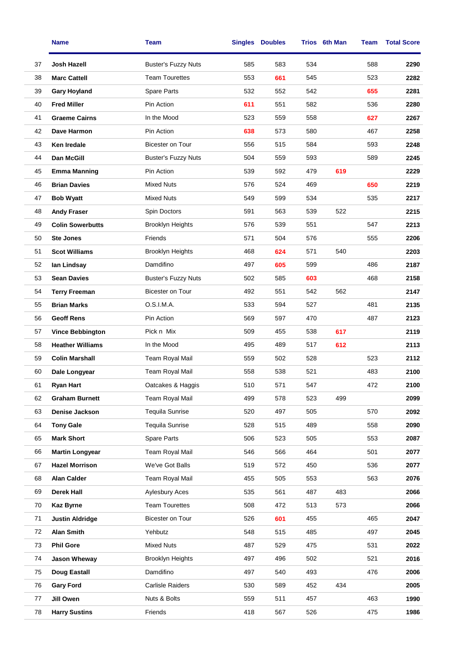|    | <b>Name</b>             | Team                       |     | <b>Singles Doubles</b> |     | Trios 6th Man | Team | <b>Total Score</b> |
|----|-------------------------|----------------------------|-----|------------------------|-----|---------------|------|--------------------|
| 37 | Josh Hazell             | <b>Buster's Fuzzy Nuts</b> | 585 | 583                    | 534 |               | 588  | 2290               |
| 38 | <b>Marc Cattell</b>     | <b>Team Tourettes</b>      | 553 | 661                    | 545 |               | 523  | 2282               |
| 39 | <b>Gary Hoyland</b>     | Spare Parts                | 532 | 552                    | 542 |               | 655  | 2281               |
| 40 | <b>Fred Miller</b>      | Pin Action                 | 611 | 551                    | 582 |               | 536  | 2280               |
| 41 | <b>Graeme Cairns</b>    | In the Mood                | 523 | 559                    | 558 |               | 627  | 2267               |
| 42 | Dave Harmon             | Pin Action                 | 638 | 573                    | 580 |               | 467  | 2258               |
| 43 | <b>Ken Iredale</b>      | <b>Bicester on Tour</b>    | 556 | 515                    | 584 |               | 593  | 2248               |
| 44 | Dan McGill              | <b>Buster's Fuzzy Nuts</b> | 504 | 559                    | 593 |               | 589  | 2245               |
| 45 | <b>Emma Manning</b>     | Pin Action                 | 539 | 592                    | 479 | 619           |      | 2229               |
| 46 | <b>Brian Davies</b>     | <b>Mixed Nuts</b>          | 576 | 524                    | 469 |               | 650  | 2219               |
| 47 | <b>Bob Wyatt</b>        | <b>Mixed Nuts</b>          | 549 | 599                    | 534 |               | 535  | 2217               |
| 48 | <b>Andy Fraser</b>      | Spin Doctors               | 591 | 563                    | 539 | 522           |      | 2215               |
| 49 | <b>Colin Sowerbutts</b> | <b>Brooklyn Heights</b>    | 576 | 539                    | 551 |               | 547  | 2213               |
| 50 | <b>Ste Jones</b>        | Friends                    | 571 | 504                    | 576 |               | 555  | 2206               |
| 51 | <b>Scot Williams</b>    | <b>Brooklyn Heights</b>    | 468 | 624                    | 571 | 540           |      | 2203               |
| 52 | lan Lindsay             | Damdifino                  | 497 | 605                    | 599 |               | 486  | 2187               |
| 53 | <b>Sean Davies</b>      | <b>Buster's Fuzzy Nuts</b> | 502 | 585                    | 603 |               | 468  | 2158               |
| 54 | <b>Terry Freeman</b>    | Bicester on Tour           | 492 | 551                    | 542 | 562           |      | 2147               |
| 55 | <b>Brian Marks</b>      | O.S.I.M.A.                 | 533 | 594                    | 527 |               | 481  | 2135               |
| 56 | <b>Geoff Rens</b>       | Pin Action                 | 569 | 597                    | 470 |               | 487  | 2123               |
| 57 | <b>Vince Bebbington</b> | Pick n Mix                 | 509 | 455                    | 538 | 617           |      | 2119               |
| 58 | <b>Heather Williams</b> | In the Mood                | 495 | 489                    | 517 | 612           |      | 2113               |
| 59 | <b>Colin Marshall</b>   | Team Royal Mail            | 559 | 502                    | 528 |               | 523  | 2112               |
| 60 | Dale Longyear           | Team Royal Mail            | 558 | 538                    | 521 |               | 483  | 2100               |
| 61 | <b>Ryan Hart</b>        | Oatcakes & Haggis          | 510 | 571                    | 547 |               | 472  | 2100               |
| 62 | <b>Graham Burnett</b>   | Team Royal Mail            | 499 | 578                    | 523 | 499           |      | 2099               |
| 63 | Denise Jackson          | <b>Tequila Sunrise</b>     | 520 | 497                    | 505 |               | 570  | 2092               |
| 64 | <b>Tony Gale</b>        | <b>Tequila Sunrise</b>     | 528 | 515                    | 489 |               | 558  | 2090               |
| 65 | <b>Mark Short</b>       | Spare Parts                | 506 | 523                    | 505 |               | 553  | 2087               |
| 66 | <b>Martin Longyear</b>  | <b>Team Royal Mail</b>     | 546 | 566                    | 464 |               | 501  | 2077               |
| 67 | <b>Hazel Morrison</b>   | We've Got Balls            | 519 | 572                    | 450 |               | 536  | 2077               |
| 68 | <b>Alan Calder</b>      | <b>Team Royal Mail</b>     | 455 | 505                    | 553 |               | 563  | 2076               |
| 69 | <b>Derek Hall</b>       | <b>Aylesbury Aces</b>      | 535 | 561                    | 487 | 483           |      | 2066               |
| 70 | <b>Kaz Byrne</b>        | <b>Team Tourettes</b>      | 508 | 472                    | 513 | 573           |      | 2066               |
| 71 | <b>Justin Aldridge</b>  | Bicester on Tour           | 526 | 601                    | 455 |               | 465  | 2047               |
| 72 | <b>Alan Smith</b>       | Yehbutz                    | 548 | 515                    | 485 |               | 497  | 2045               |
| 73 | <b>Phil Gore</b>        | <b>Mixed Nuts</b>          | 487 | 529                    | 475 |               | 531  | 2022               |
| 74 | Jason Wheway            | <b>Brooklyn Heights</b>    | 497 | 496                    | 502 |               | 521  | 2016               |
| 75 | Doug Eastall            | Damdifino                  | 497 | 540                    | 493 |               | 476  | 2006               |
| 76 | <b>Gary Ford</b>        | <b>Carlisle Raiders</b>    | 530 | 589                    | 452 | 434           |      | 2005               |
| 77 | Jill Owen               | Nuts & Bolts               | 559 | 511                    | 457 |               | 463  | 1990               |
| 78 | <b>Harry Sustins</b>    | Friends                    | 418 | 567                    | 526 |               | 475  | 1986               |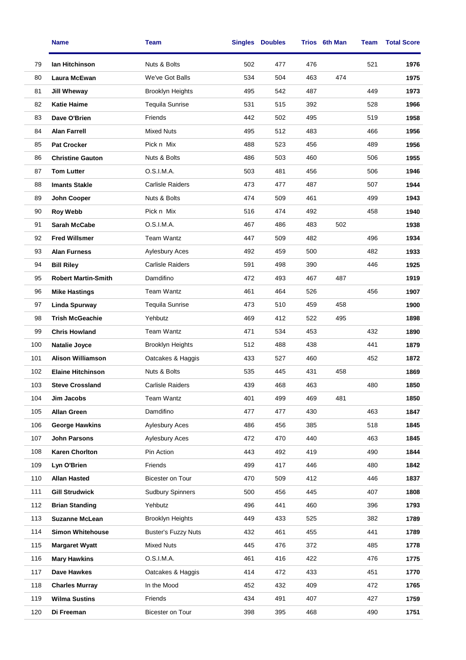|     | <b>Name</b>                | Team                       |     | <b>Singles Doubles</b> |     | Trios 6th Man | Team | <b>Total Score</b> |
|-----|----------------------------|----------------------------|-----|------------------------|-----|---------------|------|--------------------|
| 79  | lan Hitchinson             | Nuts & Bolts               | 502 | 477                    | 476 |               | 521  | 1976               |
| 80  | <b>Laura McEwan</b>        | We've Got Balls            | 534 | 504                    | 463 | 474           |      | 1975               |
| 81  | <b>Jill Wheway</b>         | <b>Brooklyn Heights</b>    | 495 | 542                    | 487 |               | 449  | 1973               |
| 82  | <b>Katie Haime</b>         | Tequila Sunrise            | 531 | 515                    | 392 |               | 528  | 1966               |
| 83  | Dave O'Brien               | Friends                    | 442 | 502                    | 495 |               | 519  | 1958               |
| 84  | <b>Alan Farrell</b>        | <b>Mixed Nuts</b>          | 495 | 512                    | 483 |               | 466  | 1956               |
| 85  | <b>Pat Crocker</b>         | Pick n Mix                 | 488 | 523                    | 456 |               | 489  | 1956               |
| 86  | <b>Christine Gauton</b>    | Nuts & Bolts               | 486 | 503                    | 460 |               | 506  | 1955               |
| 87  | <b>Tom Lutter</b>          | O.S.I.M.A.                 | 503 | 481                    | 456 |               | 506  | 1946               |
| 88  | <b>Imants Stakle</b>       | <b>Carlisle Raiders</b>    | 473 | 477                    | 487 |               | 507  | 1944               |
| 89  | John Cooper                | Nuts & Bolts               | 474 | 509                    | 461 |               | 499  | 1943               |
| 90  | <b>Roy Webb</b>            | Pick n Mix                 | 516 | 474                    | 492 |               | 458  | 1940               |
| 91  | <b>Sarah McCabe</b>        | O.S.I.M.A.                 | 467 | 486                    | 483 | 502           |      | 1938               |
| 92  | <b>Fred Willsmer</b>       | Team Wantz                 | 447 | 509                    | 482 |               | 496  | 1934               |
| 93  | <b>Alan Furness</b>        | <b>Aylesbury Aces</b>      | 492 | 459                    | 500 |               | 482  | 1933               |
| 94  | <b>Bill Riley</b>          | <b>Carlisle Raiders</b>    | 591 | 498                    | 390 |               | 446  | 1925               |
| 95  | <b>Robert Martin-Smith</b> | Damdifino                  | 472 | 493                    | 467 | 487           |      | 1919               |
| 96  | <b>Mike Hastings</b>       | Team Wantz                 | 461 | 464                    | 526 |               | 456  | 1907               |
| 97  | <b>Linda Spurway</b>       | <b>Tequila Sunrise</b>     | 473 | 510                    | 459 | 458           |      | 1900               |
| 98  | <b>Trish McGeachie</b>     | Yehbutz                    | 469 | 412                    | 522 | 495           |      | 1898               |
| 99  | <b>Chris Howland</b>       | <b>Team Wantz</b>          | 471 | 534                    | 453 |               | 432  | 1890               |
| 100 | Natalie Joyce              | <b>Brooklyn Heights</b>    | 512 | 488                    | 438 |               | 441  | 1879               |
| 101 | <b>Alison Williamson</b>   | Oatcakes & Haggis          | 433 | 527                    | 460 |               | 452  | 1872               |
| 102 | <b>Elaine Hitchinson</b>   | Nuts & Bolts               | 535 | 445                    | 431 | 458           |      | 1869               |
| 103 | <b>Steve Crossland</b>     | Carlisle Raiders           | 439 | 468                    | 463 |               | 480  | 1850               |
| 104 | Jim Jacobs                 | Team Wantz                 | 401 | 499                    | 469 | 481           |      | 1850               |
| 105 | <b>Allan Green</b>         | Damdifino                  | 477 | 477                    | 430 |               | 463  | 1847               |
| 106 | <b>George Hawkins</b>      | <b>Aylesbury Aces</b>      | 486 | 456                    | 385 |               | 518  | 1845               |
| 107 | <b>John Parsons</b>        | <b>Aylesbury Aces</b>      | 472 | 470                    | 440 |               | 463  | 1845               |
| 108 | <b>Karen Chorlton</b>      | Pin Action                 | 443 | 492                    | 419 |               | 490  | 1844               |
| 109 | Lyn O'Brien                | Friends                    | 499 | 417                    | 446 |               | 480  | 1842               |
| 110 | <b>Allan Hasted</b>        | Bicester on Tour           | 470 | 509                    | 412 |               | 446  | 1837               |
| 111 | <b>Gill Strudwick</b>      | <b>Sudbury Spinners</b>    | 500 | 456                    | 445 |               | 407  | 1808               |
| 112 | <b>Brian Standing</b>      | Yehbutz                    | 496 | 441                    | 460 |               | 396  | 1793               |
| 113 | <b>Suzanne McLean</b>      | <b>Brooklyn Heights</b>    | 449 | 433                    | 525 |               | 382  | 1789               |
| 114 | <b>Simon Whitehouse</b>    | <b>Buster's Fuzzy Nuts</b> | 432 | 461                    | 455 |               | 441  | 1789               |
| 115 | <b>Margaret Wyatt</b>      | <b>Mixed Nuts</b>          | 445 | 476                    | 372 |               | 485  | 1778               |
| 116 | <b>Mary Hawkins</b>        | O.S.I.M.A.                 | 461 | 416                    | 422 |               | 476  | 1775               |
| 117 | Dave Hawkes                | Oatcakes & Haggis          | 414 | 472                    | 433 |               | 451  | 1770               |
| 118 | <b>Charles Murray</b>      | In the Mood                | 452 | 432                    | 409 |               | 472  | 1765               |
| 119 | <b>Wilma Sustins</b>       | Friends                    | 434 | 491                    | 407 |               | 427  | 1759               |
| 120 | Di Freeman                 | Bicester on Tour           | 398 | 395                    | 468 |               | 490  | 1751               |